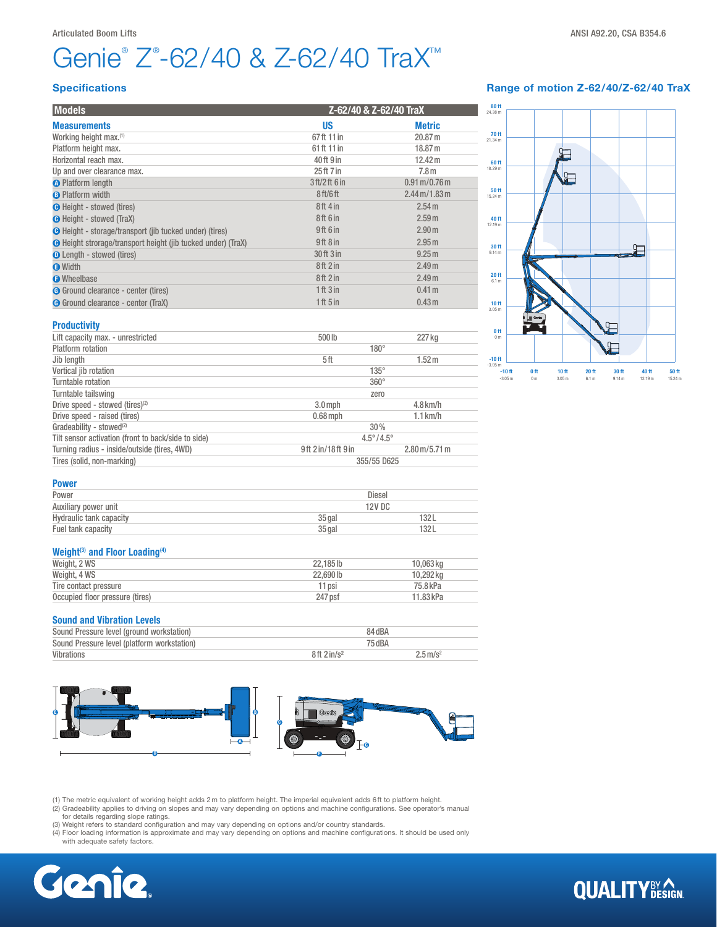# Genie<sup>®</sup> Z®-62/40 & Z-62/40 TraX<sup>™</sup>

## Specifications

| <b>Models</b>                                                       |                                  | Z-62/40 & Z-62/40 TraX                   |  |
|---------------------------------------------------------------------|----------------------------------|------------------------------------------|--|
| <b>Measurements</b>                                                 | <b>US</b>                        | <b>Metric</b>                            |  |
| Working height max. <sup>(1)</sup>                                  | 67ft 11 in                       | 20.87 m                                  |  |
| Platform height max.                                                | 61 ft 11 in                      | 18.87 m                                  |  |
| Horizontal reach max.                                               | 40ft 9 in                        | 12.42 m                                  |  |
| Up and over clearance max.                                          | 25 ft 7 in                       | 7.8 <sub>m</sub>                         |  |
| <b>O</b> Platform length                                            | 3 ft/2 ft 6 in                   | $0.91 \,\mathrm{m} / 0.76 \,\mathrm{m}$  |  |
| <b>B</b> Platform width                                             | 8 <sub>ft</sub> /6 <sub>ft</sub> | $2.44 \,\mathrm{m}$ /1.83 $\,\mathrm{m}$ |  |
| <b>O</b> Height - stowed (tires)                                    | 8ft 4 in                         | 2.54 m                                   |  |
| <b>O</b> Height - stowed (TraX)                                     | 8ft 6 in                         | 2.59 m                                   |  |
| <b>O</b> Height - storage/transport (jib tucked under) (tires)      | 9ft 6 in                         | 2.90 <sub>m</sub>                        |  |
| <b>O</b> Height strorage/transport height (jib tucked under) (TraX) | 9ft 8 in                         | 2.95 m                                   |  |
| <b>O</b> Length - stowed (tires)                                    | 30 ft 3 in                       | 9.25 m                                   |  |
| <b>O</b> Width                                                      | 8ft 2 in                         | 2.49 <sub>m</sub>                        |  |
| <b>O</b> Wheelbase                                                  | 8ft2in                           | 2.49 <sub>m</sub>                        |  |
| <b>G</b> Ground clearance - center (tires)                          | 1 ft 3 in                        | 0.41 m                                   |  |
| G Ground clearance - center (TraX)                                  | 1ft 5in                          | 0.43 m                                   |  |
| <b>Productivity</b>                                                 |                                  |                                          |  |
| Lift capacity max. - unrestricted                                   | 500lb                            | 227 kg                                   |  |
| Dlatform rotation                                                   |                                  | $100^\circ$                              |  |

# Range of motion Z-62/40/Z-62/40 TraX



| .                                                   |                           |                             |  |
|-----------------------------------------------------|---------------------------|-----------------------------|--|
| Lift capacity max. - unrestricted                   | 500lb                     | 227 kg                      |  |
| Platform rotation                                   | $180^\circ$               |                             |  |
| Jib length                                          | 5ft                       | 1.52 <sub>m</sub>           |  |
| Vertical jib rotation                               | $135^\circ$               |                             |  |
| Turntable rotation                                  | $360^\circ$               |                             |  |
| Turntable tailswing                                 | zero                      |                             |  |
| Drive speed - stowed (tires) <sup>(2)</sup>         | $3.0$ mph                 | $4.8$ km/h                  |  |
| Drive speed - raised (tires)                        | $0.68$ mph                | $1.1$ km/h                  |  |
| Gradeability - stowed <sup>(2)</sup>                | 30%                       |                             |  |
| Tilt sensor activation (front to back/side to side) | $4.5^{\circ}/4.5^{\circ}$ |                             |  |
| Turning radius - inside/outside (tires, 4WD)        | 9ft 2in/18ft 9in          | $2.80 \,\mathrm{m/s}$ .71 m |  |
| Tires (solid, non-marking)                          | 355/55 D625               |                             |  |
|                                                     |                           |                             |  |

| <b>Power</b>                   |          |        |  |
|--------------------------------|----------|--------|--|
| Power                          | Diesel   |        |  |
| Auxiliary power unit           |          | 12V DC |  |
| <b>Hydraulic tank capacity</b> | 35 gal   | 132L   |  |
| Fuel tank capacity             | $35$ gal | 132L   |  |

### Weight<sup>(3)</sup> and Floor Loading<sup>(4)</sup>

| Weight, 2 WS                    | 22.185 lb | 10.063 ka |
|---------------------------------|-----------|-----------|
| Weight, 4 WS                    | 22.690 lb | 10.292 kg |
| Tire contact pressure           | 11 psi    | 75.8 kPa  |
| Occupied floor pressure (tires) | 247 psf   | 11.83 kPa |

#### Sound and Vibration Levels

| Sound Pressure level (ground workstation)   | 84 dBA                 |                        |
|---------------------------------------------|------------------------|------------------------|
| Sound Pressure level (platform workstation) | 75 dBA                 |                        |
| Vibrations                                  | 8ft 2in/s <sup>2</sup> | $2.5 \,\mathrm{m/s^2}$ |



(1) The metric equivalent of working height adds 2m to platform height. The imperial equivalent adds 6ft to platform height.

(2) Gradeability applies to driving on slopes and may vary depending on options and machine configurations. See operator's manual<br>for details regarding slope ratings.<br>(3) Weight refers to standard configuration and may var

(4) Floor loading information is approximate and may vary depending on options and machine configurations. It should be used only with adequate safety factors.